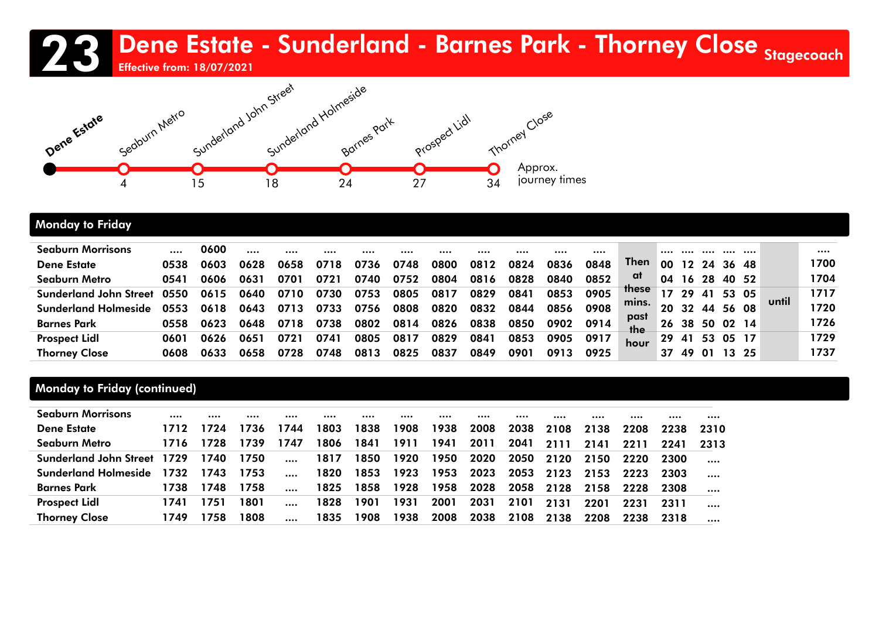# 23 Dene Estate - Sunderland - Barnes Park - Thorney Close Stagecoach





#### Monday to Friday

| <b>Seaburn Morrisons</b>      |      | 0600 |      |      |      |      |      |      |      |      |      |      |             |    |    |       |       |      |       |      |
|-------------------------------|------|------|------|------|------|------|------|------|------|------|------|------|-------------|----|----|-------|-------|------|-------|------|
| <b>Dene Estate</b>            | 0538 | 0603 | 0628 | 0658 |      |      | 0748 | 0800 | 0812 | 0824 | 0836 | 0848 | <b>Then</b> | 00 | 12 |       | 36    | -48  |       | 1700 |
| Seaburn Metro                 | 0541 | 0606 | 0631 | 0701 | 0721 | 0740 | 0752 | 0804 | 0816 | 0828 | 0840 | 0852 | at          | 04 | 16 | -28   | 40 52 |      |       | 1704 |
| <b>Sunderland John Street</b> |      | 0615 | 0640 | 0710 | 0730 | 0753 | 0805 | 0817 | 0829 | 0841 | 0853 | 0905 | these       |    | 29 | 41    | 53    | 05   | until | 1717 |
| <b>Sunderland Holmeside</b>   | 0553 | 0618 | 0643 | 0713 | 0733 | 0756 | 0808 | 0820 | 0832 | 0844 | 0856 | 0908 | mins.       | 20 | 32 | 44    | 56 08 |      |       | 1720 |
| <b>Barnes Park</b>            | 0558 | 0623 | 0648 | 0718 | 0738 | 0802 | 0814 | 0826 | 0838 | 0850 | 0902 | 0914 | past<br>the | 26 | 38 | 50    | 02 14 |      |       | 1726 |
| <b>Prospect Lidl</b>          | 0601 | 0626 | 0651 | 072. | 0741 | 0805 | 0817 | 0829 | 0841 | 0853 | 0905 | 0917 | hour        | 29 | 41 | 53    | 05 17 |      |       | 1729 |
| <b>Thorney Close</b>          | 0608 | 0633 | 0658 |      | 0748 | 0813 | 0825 | 0837 | 0849 | 0901 | 0913 | 0925 |             | 37 | 49 | ้ ด 1 | 13.   | - 25 |       | 1737 |

#### Monday to Friday (continued)

| <b>Seaburn Morrisons</b>           |      |      |      |          | $$   |      |      |      |      |      |      |      |      |      |          |
|------------------------------------|------|------|------|----------|------|------|------|------|------|------|------|------|------|------|----------|
| <b>Dene Estate</b>                 | 1712 | 1724 | 1736 | 1744     | 1803 | 1838 | 1908 | 1938 | 2008 | 2038 | 2108 | 2138 | 2208 | 2238 | 2310     |
| Seaburn Metro                      | 1716 | 1728 | 1739 | 1747     | 1806 | 1841 | 1911 | 1941 | 2011 | 2041 | 2111 | 2141 | 2211 | 2241 | 2313     |
| <b>Sunderland John Street 1729</b> |      | 1740 | 1750 | $\cdots$ | 1817 | 1850 | 1920 | 1950 | 2020 | 2050 | 2120 | 2150 | 2220 | 2300 |          |
| <b>Sunderland Holmeside</b>        | 1732 | 1743 | 1753 |          | 1820 | 1853 | 1923 | 1953 | 2023 | 2053 | 2123 | 2153 | 2223 | 2303 | $\cdots$ |
| <b>Barnes Park</b>                 | 1738 | 1748 | 1758 |          | 1825 | 1858 | 1928 | 1958 | 2028 | 2058 | 2128 | 2158 | 2228 | 2308 |          |
| <b>Prospect Lidl</b>               | 1741 | 1751 | 1801 |          | 1828 | 1901 | 1931 | 2001 | 2031 | 2101 | 2131 | 2201 | 2231 | 2311 |          |
| <b>Thorney Close</b>               | 1749 | 1758 | 1808 |          | 1835 | 1908 | 1938 | 2008 | 2038 | 2108 | 2138 | 2208 | 2238 | 2318 |          |
|                                    |      |      |      |          |      |      |      |      |      |      |      |      |      |      |          |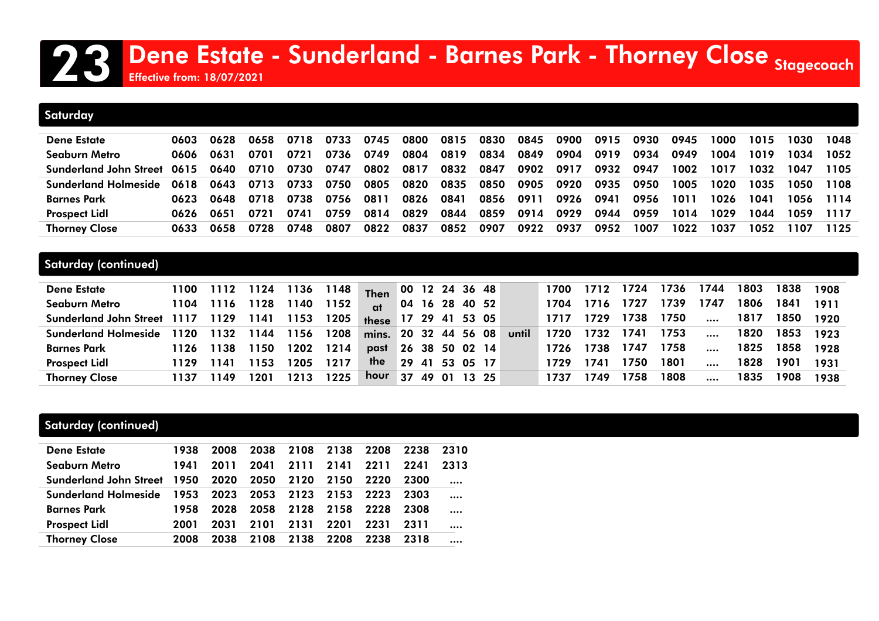## 23 Dene Estate - Sunderland - Barnes Park - Thorney Close Stagecoach

Effective from: 18/07/2021

| <b>Saturday</b>               |      |      |      |      |      |      |      |      |      |      |      |      |      |      |      |      |      |      |
|-------------------------------|------|------|------|------|------|------|------|------|------|------|------|------|------|------|------|------|------|------|
|                               |      |      |      |      |      |      |      |      |      |      |      |      |      |      |      |      |      |      |
| <b>Dene Estate</b>            | 0603 | 0628 | 0658 | 0718 | 0733 | 0745 | 0800 | 0815 | 0830 | 0845 | 0900 | 0915 | 0930 | 0945 | 1000 | 1015 | 1030 | 1048 |
| Seaburn Metro                 | 0606 | 0631 | 0701 | 0721 | 0736 | 0749 | 0804 | 0819 | 0834 | 0849 | 0904 | 0919 | 0934 | 0949 | 1004 | 1019 | 1034 | 1052 |
| <b>Sunderland John Street</b> | 0615 | 0640 | 0710 | 0730 | 0747 | 0802 | 0817 | 0832 | 0847 | 0902 | 0917 | 0932 | 0947 | 1002 | 1017 | 1032 | 1047 | 1105 |
| <b>Sunderland Holmeside</b>   | 0618 | 0643 | 0713 | 0733 | 0750 | 0805 | 0820 | 0835 | 0850 | 0905 | 0920 | 0935 | 0950 | 1005 | 1020 | 1035 | 1050 | 1108 |
| <b>Barnes Park</b>            | 0623 | 0648 | 0718 | 0738 | 0756 | 0811 | 0826 | 0841 | 0856 | 0911 | 0926 | 0941 | 0956 | 1011 | 1026 | 1041 | 1056 | 1114 |
| <b>Prospect Lidl</b>          | 0626 | 0651 | 0721 | 0741 | 0759 | 0814 | 0829 | 0844 | 0859 | 0914 | 0929 | 0944 | 0959 | 1014 | 1029 | 1044 | 1059 | 1117 |
| <b>Thorney Close</b>          | 0633 | 0658 | 0728 | 0748 | 0807 | 0822 | 0837 | 0852 | 0907 | 0922 | 0937 | 0952 | 1007 | 1022 | 1037 | 1052 | 1107 | 1125 |

#### Saturday (continued)

| <b>Dene Estate</b>                         |      |           |      | 1100 1112 1124 1136 1148 |      | Then 00 12 24 36 48  |    |                |       |       | 1700 | 1712 | 1724 | 1736 | 1744     | 1803 | 1838 | 1908 |
|--------------------------------------------|------|-----------|------|--------------------------|------|----------------------|----|----------------|-------|-------|------|------|------|------|----------|------|------|------|
| <b>Seaburn Metro</b>                       | 1104 | 1116      | 1128 | 1140                     | 1152 | $\alpha$             |    | 04 16 28 40 52 |       |       | 1704 | 1716 | 1727 | 1739 | 1747     | 1806 | 1841 | 1911 |
| Sunderland John Street 1117 1129 1141 1153 |      |           |      |                          | 1205 | these 17 29 41 53 05 |    |                |       |       | 1717 | 1729 | 1738 | 1750 | $\cdots$ | 1817 | 1850 | 1920 |
| <b>Sunderland Holmeside</b>                | 1120 | 1132      |      | 1144 1156 1208           |      | mins. 20 32 44 56 08 |    |                |       | until | 1720 | 1732 | 1741 | 1753 | $\cdots$ | 1820 | 1853 | 1923 |
| <b>Barnes Park</b>                         |      | 1126 1138 | 1150 | 1202                     | 1214 | past                 |    | 26 38 50 02 14 |       |       | 1726 | 1738 | 1747 | 1758 | $\cdots$ | 1825 | 1858 | 1928 |
| <b>Prospect Lidl</b>                       | 1129 | 1141      | 1153 | 1205                     | 1217 | the                  |    | 29 41 53 05 17 |       |       | 1729 | 1741 | 1750 | 1801 | $\cdots$ | 1828 | 1901 | 1931 |
| <b>Thorney Close</b>                       | 1137 | 1149      | 1201 | 1213                     | 1225 | hour                 | 37 | 49 01          | 13 25 |       | 1737 | 749  | 758  | 1808 | $\cdots$ | 1835 | 1908 | 1938 |

#### Saturday (continued)

| <b>Dene Estate</b>                                 | 1938 | 2008 | 2038 | 2108 2138 2208 |           |      | 2238 | 2310 |
|----------------------------------------------------|------|------|------|----------------|-----------|------|------|------|
| Seaburn Metro                                      | 1941 | 2011 |      | 2041 2111      | 2141 2211 |      | 2241 | 2313 |
| Sunderland John Street 1950 2020 2050              |      |      |      | 2120           | 2150      | 2220 | 2300 |      |
| Sunderland Holmeside 1953 2023 2053 2123 2153 2223 |      |      |      |                |           |      | 2303 |      |
| <b>Barnes Park</b>                                 | 1958 | 2028 | 2058 | 2128           | 2158      | 2228 | 2308 |      |
| <b>Prospect Lidl</b>                               | 2001 | 2031 | 2101 | 2131           | 2201      | 2231 | 2311 |      |
| <b>Thorney Close</b>                               | 2008 | 2038 | 2108 | 2138           | 2208      | 2238 | 2318 |      |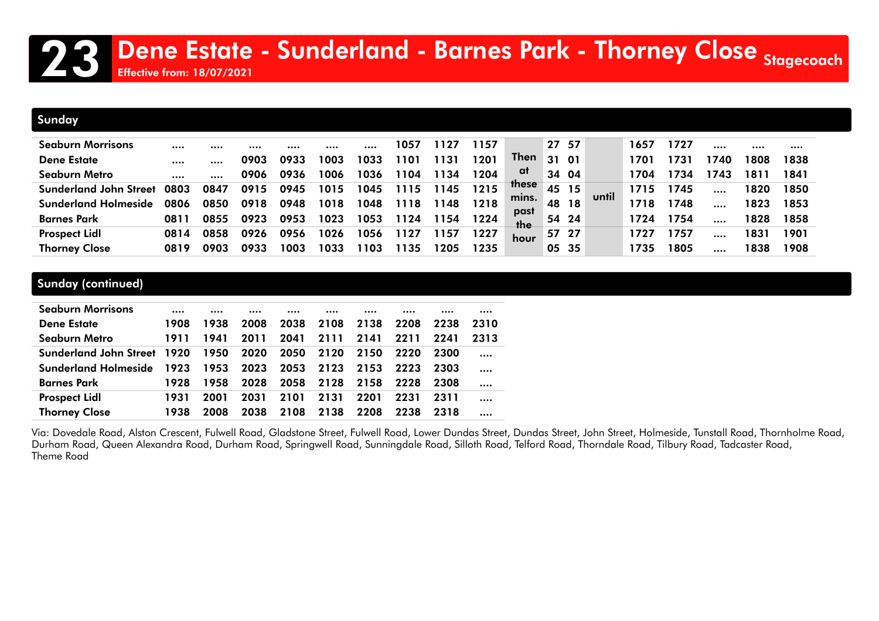### Dene Estate - Sunderland - Barnes Park - Thorney Close Stagecoach Effective from: 18/07/2021

#### Sunday

| <b>Seaburn Morrisons</b>      |      |      |      |      |      |      | 1057            |      | 1157 |              | 27 57      |     |       | 1657             | 1727  |     |      |      |
|-------------------------------|------|------|------|------|------|------|-----------------|------|------|--------------|------------|-----|-------|------------------|-------|-----|------|------|
| <b>Dene Estate</b>            |      |      | 0903 | 0933 | 1003 | 1033 | 10 <sup>°</sup> |      | 1201 | Then         | 31         | 01  |       | 170 <sup>.</sup> | 731   | 740 | 1808 | 1838 |
| Seaburn Metro                 |      |      | 0906 | 0936 | 1006 | 1036 | 104             | 1134 | 1204 | at           | 34         | 04  |       | 1704             | 734   | 743 | 181  | 1841 |
| <b>Sunderland John Street</b> | 0803 | 0847 | 0915 | 0945 | 1015 | 1045 | 15              | 145  | 1215 | <b>these</b> | 45         | 15  | until | 1715             | 745   |     | 1820 | 1850 |
| <b>Sunderland Holmeside</b>   | 0806 | 0850 | 0918 | 0948 | 1018 | 1048 | 118             | 148  | 1218 | mins.        | 48         | -18 |       | 1718             | 748   |     | 1823 | 1853 |
| <b>Barnes Park</b>            | 0811 | 0855 | 0923 | 0953 | 1023 | 1053 | 124             | 154  | 1224 | past<br>the  | 54 24      |     |       | 1724             | 754   |     | 1828 | 1858 |
| <b>Prospect Lidl</b>          | 0814 | 0858 | 0926 | 0956 | 1026 | 1056 |                 | 157  | 1227 | hour         | - 27<br>57 |     |       | 1727             | 757   |     | 1831 | 1901 |
| <b>Thorney Close</b>          | 0819 | 0903 | 0933 | 1003 | 1033 | 103  | 135             |      | 1235 |              | 05 35      |     |       | 1735             | 805 ا |     | 1838 | 1908 |

#### Sunday (continued)

| <b>Seaburn Morrisons</b>           |      |      |      |      |      |      |      |      |      |
|------------------------------------|------|------|------|------|------|------|------|------|------|
| <b>Dene Estate</b>                 | 1908 | 1938 | 2008 | 2038 | 2108 | 2138 | 2208 | 2238 | 2310 |
| Seaburn Metro                      | 1911 | 1941 | 2011 | 2041 | 2111 | 2141 | 2211 | 2241 | 2313 |
| <b>Sunderland John Street 1920</b> |      | 1950 | 2020 | 2050 | 2120 | 2150 | 2220 | 2300 |      |
| <b>Sunderland Holmeside</b>        | 1923 | 1953 | 2023 | 2053 | 2123 | 2153 | 2223 | 2303 |      |
| <b>Barnes Park</b>                 | 1928 | 1958 | 2028 | 2058 | 2128 | 2158 | 2228 | 2308 |      |
| <b>Prospect Lidl</b>               | 1931 | 2001 | 2031 | 2101 | 2131 | 2201 | 2231 | 2311 |      |
| <b>Thorney Close</b>               | 1938 | 2008 | 2038 | 2108 | 2138 | 2208 | 2238 | 2318 |      |

Via: Dovedale Road, Alston Crescent, Fulwell Road, Gladstone Street, Fulwell Road, Lower Dundas Street, Dundas Street, John Street, Holmeside, Tunstall Road, Thornholme Road, Durham Road, Queen Alexandra Road, Durham Road, Springwell Road, Sunningdale Road, Silloth Road, Telford Road, Thorndale Road, Tilbury Road, Tadcaster Road, Theme Road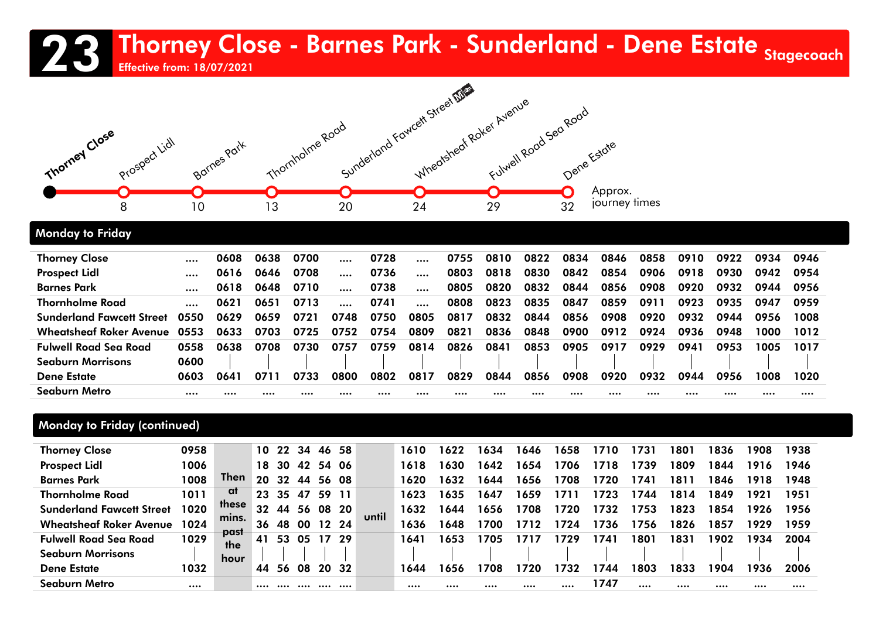### 23 Thorney Close - Barnes Park - Sunderland - Dene Estate <sub>Stagecoach</sub><br>23 Effective from: 18/07/2021

Effective from: 18/07/2021



#### Monday to Friday

| <b>Thorney Close</b>             | $\cdots$ | 0608 | 0638 | 0700 |      | 0728 |           | 0755 | 0810 | 0822 | 0834 | 0846 | 0858 | 0910 | 0922 | 0934 | 0946 |
|----------------------------------|----------|------|------|------|------|------|-----------|------|------|------|------|------|------|------|------|------|------|
| <b>Prospect Lidl</b>             | $\cdots$ | 0616 | 0646 | 0708 |      | 0736 |           | 0803 | 0818 | 0830 | 0842 | 0854 | 0906 | 0918 | 0930 | 0942 | 0954 |
| <b>Barnes Park</b>               |          | 0618 | 0648 | 0710 |      | 0738 | $\ddotsc$ | 0805 | 0820 | 0832 | 0844 | 0856 | 0908 | 0920 | 0932 | 0944 | 0956 |
| <b>Thornholme Road</b>           |          | 0621 | 0651 | 0713 |      | 0741 |           | 0808 | 0823 | 0835 | 0847 | 0859 | 0911 | 0923 | 0935 | 0947 | 0959 |
| <b>Sunderland Fawcett Street</b> | 0550     | 0629 | 0659 | 0721 | 0748 | 0750 | 0805      | 0817 | 0832 | 0844 | 0856 | 0908 | 0920 | 0932 | 0944 | 0956 | 1008 |
| <b>Wheatsheaf Roker Avenue</b>   | 0553     | 0633 | 0703 | 0725 | 0752 | 0754 | 0809      | 0821 | 0836 | 0848 | 0900 | 0912 | 0924 | 0936 | 0948 | 1000 | 1012 |
| <b>Fulwell Road Sea Road</b>     | 0558     | 0638 | 0708 | 0730 | 0757 | 0759 | 0814      | 0826 | 0841 | 0853 | 0905 | 0917 | 0929 | 0941 | 0953 | 1005 | 1017 |
| <b>Seaburn Morrisons</b>         | 0600     |      |      |      |      |      |           |      |      |      |      |      |      |      |      |      |      |
| <b>Dene Estate</b>               | 0603     | 0641 | 0711 | 0733 | 0800 | 0802 | 0817      | 0829 | 0844 | 0856 | 0908 | 0920 | 0932 | 0944 | 0956 | 1008 | 1020 |
| Seaburn Metro                    |          |      |      |      |      |      |           |      |      |      |      |      |      |      |      |      |      |

#### Monday to Friday (continued)

| <b>Thorney Close</b>             | 0958 |             |    | 10 22 34 |     | 46 58    |      |       | 1610 | 1622 | 1634 | 1646 | 1658 | 1710 | 1731 | 1801 | 1836 | 1908 | 1938 |
|----------------------------------|------|-------------|----|----------|-----|----------|------|-------|------|------|------|------|------|------|------|------|------|------|------|
| <b>Prospect Lidl</b>             | 1006 |             | 18 | 30       | 42  | 54       | -06  |       | 1618 | 1630 | 1642 | 1654 | 1706 | 1718 | 1739 | 1809 | 1844 | 1916 | 1946 |
| <b>Barnes Park</b>               | 1008 | Then        | 20 | 32       | 44  | 56       | -08  |       | 1620 | 1632 | 1644 | 1656 | 1708 | 1720 | 1741 | 1811 | 1846 | 1918 | 1948 |
| <b>Thornholme Road</b>           | 1011 | at          | 23 | 35       | 47  | 59       | 11   |       | 1623 | 1635 | 1647 | 1659 | 1711 | 1723 | 1744 | 1814 | 1849 | 1921 | 1951 |
| <b>Sunderland Fawcett Street</b> | 1020 | these       | 32 | 44       | 56  | 08 20    |      | until | 1632 | 1644 | 1656 | 1708 | 1720 | 1732 | 1753 | 1823 | 1854 | 1926 | 1956 |
| <b>Wheatsheaf Roker Avenue</b>   | 1024 | mins.       | 36 | 48       |     | 00 12 24 |      |       | 1636 | 1648 | 1700 | 171  | 1724 | 1736 | 1756 | 1826 | 1857 | 1929 | 1959 |
| <b>Fulwell Road Sea Road</b>     | 1029 | past<br>the | 41 | 53       | -05 | 17       | - 29 |       | 1641 | 1653 | 1705 |      | 729  | 1741 | 1801 | 1831 | 1902 | 1934 | 2004 |
| <b>Seaburn Morrisons</b>         |      | hour        |    |          |     |          |      |       |      |      |      |      |      |      |      |      |      |      |      |
| <b>Dene Estate</b>               | 1032 |             | 44 | 56       | 08  | 20       | -32  |       | 1644 | 1656 | 1708 | 1720 | 1732 | 1744 | 1803 | 1833 | 1904 | 1936 | 2006 |
| Seaburn Metro                    |      |             |    |          |     |          |      |       |      |      |      |      |      | 1747 |      |      |      |      |      |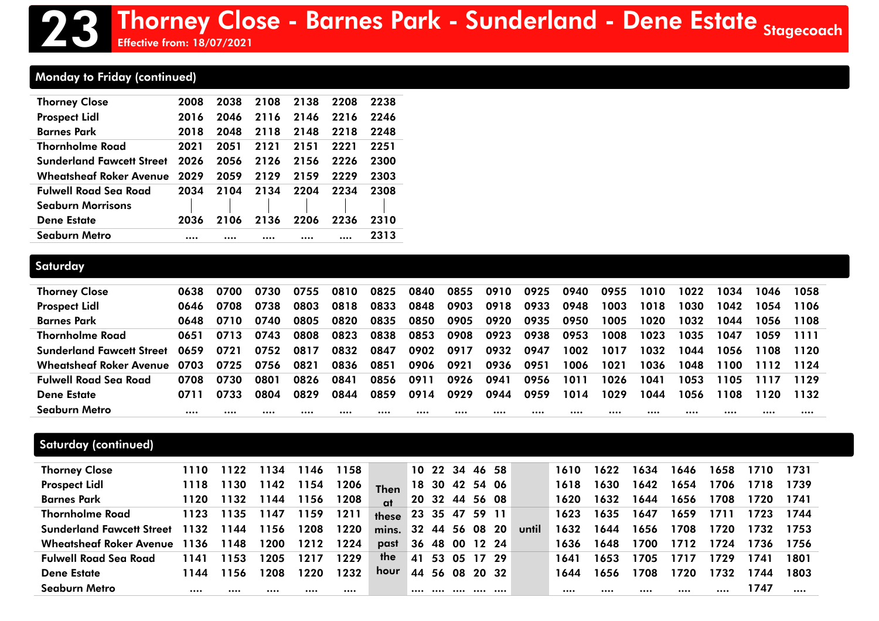#### Monday to Friday (continued)

| <b>Thorney Close</b>                | 2008 | 2038 | 2108 | 2138 | 2208 | 2238 |
|-------------------------------------|------|------|------|------|------|------|
| <b>Prospect Lidl</b>                | 2016 | 2046 | 2116 | 2146 | 2216 | 2246 |
| <b>Barnes Park</b>                  | 2018 | 2048 | 2118 | 2148 | 2218 | 2248 |
| <b>Thornholme Road</b>              | 2021 | 2051 | 2121 | 2151 | 2221 | 2251 |
| <b>Sunderland Fawcett Street</b>    | 2026 | 2056 | 2126 | 2156 | 2226 | 2300 |
| <b>Wheatsheaf Roker Avenue</b> 2029 |      | 2059 | 2129 | 2159 | 2229 | 2303 |
| <b>Fulwell Road Sea Road</b>        | 2034 | 2104 | 2134 | 2204 | 2234 | 2308 |
| <b>Seaburn Morrisons</b>            |      |      |      |      |      |      |
| <b>Dene Estate</b>                  | 2036 | 2106 | 2136 | 2206 | 2236 | 2310 |
| Seaburn Metro                       |      |      |      |      |      | 2313 |

Effective from: 18/07/2021

#### **Saturday**

| <b>Thorney Close</b>             | 0638 | 0700 | 0730 | 0755 | 0810 | 0825 | 0840 | 0855 | 0910 | 0925 | 0940 | 0955 | 1010 | 1022 | 1034 | 1046 | 1058 |
|----------------------------------|------|------|------|------|------|------|------|------|------|------|------|------|------|------|------|------|------|
| <b>Prospect Lidl</b>             | 0646 | 0708 | 0738 | 0803 | 0818 | 0833 | 0848 | 0903 | 0918 | 0933 | 0948 | 1003 | 1018 | 1030 | 1042 | 1054 | 1106 |
| <b>Barnes Park</b>               | 0648 | 0710 | 0740 | 0805 | 0820 | 0835 | 0850 | 0905 | 0920 | 0935 | 0950 | 1005 | 1020 | 1032 | 1044 | 1056 | 1108 |
| Thornholme Road                  | 0651 | 0713 | 0743 | 0808 | 0823 | 0838 | 0853 | 0908 | 0923 | 0938 | 0953 | 1008 | 1023 | 1035 | 1047 | 1059 | 1111 |
| <b>Sunderland Fawcett Street</b> | 0659 | 0721 | 0752 | 0817 | 0832 | 0847 | 0902 | 0917 | 0932 | 0947 | 1002 | 1017 | 1032 | 1044 | 1056 | 1108 | 1120 |
| <b>Wheatsheaf Roker Avenue</b>   | 0703 | 0725 | 0756 | 0821 | 0836 | 0851 | 0906 | 0921 | 0936 | 0951 | 1006 | 1021 | 1036 | 1048 | 1100 | 1112 | 1124 |
| <b>Fulwell Road Sea Road</b>     | 0708 | 0730 | 0801 | 0826 | 0841 | 0856 | 0911 | 0926 | 0941 | 0956 | 1011 | 1026 | 1041 | 1053 | 1105 |      | 1129 |
| <b>Dene Estate</b>               | 0711 | 0733 | 0804 | 0829 | 0844 | 0859 | 0914 | 0929 | 0944 | 0959 | 1014 | 1029 | 1044 | 1056 | 1108 | 1120 | 1132 |
| Seaburn Metro                    |      |      |      |      |      |      |      |      |      |      |      |      |      |      |      |      |      |

#### Saturday (continued)

| <b>Thorney Close</b>             | 1110 | 1122 | 1134 | 1146  | 1158 |              |       | 10 22 34 |    | 46 58          |       |       | 1610 | 1622 | 1634 | 1646 | 1658 | 1710 | 1731 |
|----------------------------------|------|------|------|-------|------|--------------|-------|----------|----|----------------|-------|-------|------|------|------|------|------|------|------|
| <b>Prospect Lidl</b>             | 1118 | 1130 | 1142 | l 154 | 1206 | <b>Then</b>  | 18    | 30       |    | 42 54 06       |       |       | 1618 | 1630 | 1642 | 1654 | 1706 | 1718 | 1739 |
| <b>Barnes Park</b>               | 1120 | 1132 | 1144 | 1156  | 1208 | $\mathbf{a}$ |       | 20 32 44 |    | 56 08          |       |       | 1620 | 1632 | 1644 | 1656 | 1708 | 1720 | 1741 |
| Thornholme Road                  | 1123 | 1135 | 1147 | 1159  | 1211 | these        |       |          |    | 23 35 47 59 11 |       |       | 1623 | 1635 | 1647 | 1659 | 1711 | 1723 | 1744 |
| <b>Sunderland Fawcett Street</b> | 1132 | 1144 | 1156 | 1208  | 1220 | mins.        | 32 44 |          | 56 |                | 08 20 | until | 1632 | 1644 | 1656 | 1708 | 1720 | 1732 | 1753 |
| Wheatsheaf Roker Avenue 1136     |      | 1148 | 1200 | 1212  | 1224 | past         | 36    | -48      |    | 00 12 24       |       |       | 1636 | 1648 | 1700 | 1712 | 1724 | 1736 | 1756 |
| <b>Fulwell Road Sea Road</b>     | 1141 | 1153 | 1205 | 1217  | 1229 | the          | 41    | 53       | 05 |                | 17 29 |       | 1641 | 1653 | 1705 | 1717 | 1729 | 1741 | 1801 |
| <b>Dene Estate</b>               | 1144 | 1156 | 1208 | 1220  | 1232 | hour         | 44    | 56       | 08 | 20 32          |       |       | 1644 | 1656 | 1708 | 1720 | 1732 | 1744 | 1803 |
| <b>Seaburn Metro</b>             |      |      |      |       |      |              |       |          |    | .              | .     |       |      |      | $$   |      |      | 1747 |      |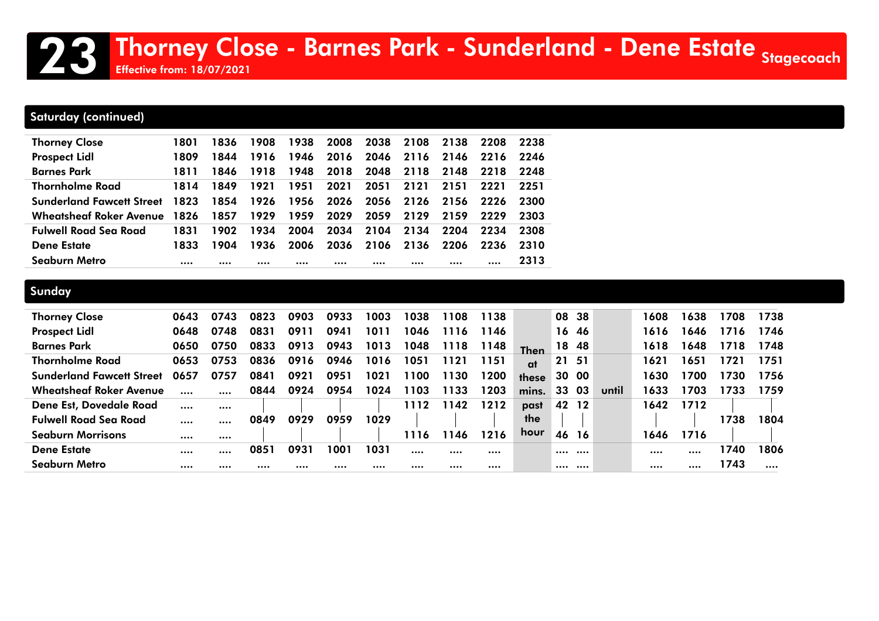### 23 Thorney Close - Barnes Park - Sunderland - Dene Estate <sub>Stagecoach</sub><br>23 Effective from: 18/07/2021

Effective from: 18/07/2021

#### Saturday (continued)

| <b>Thorney Close</b>             | 1801 | 1836 | 1908 | 1938 | 2008 | 2038 | 2108 | 2138      | 2208 | 2238 |
|----------------------------------|------|------|------|------|------|------|------|-----------|------|------|
| <b>Prospect Lidl</b>             | 1809 | 1844 | 1916 | 1946 | 2016 | 2046 |      | 2116 2146 | 2216 | 2246 |
| <b>Barnes Park</b>               | 1811 | 1846 | 1918 | 1948 | 2018 | 2048 | 2118 | 2148      | 2218 | 2248 |
| <b>Thornholme Road</b>           | 1814 | 1849 | 1921 | 1951 | 2021 | 2051 | 2121 | 2151      | 2221 | 2251 |
| <b>Sunderland Fawcett Street</b> | 1823 | 1854 | 1926 | 1956 | 2026 | 2056 | 2126 | 2156      | 2226 | 2300 |
| <b>Wheatsheaf Roker Avenue</b>   | 1826 | 1857 | 1929 | 1959 | 2029 | 2059 | 2129 | 2159      | 2229 | 2303 |
| <b>Fulwell Road Sea Road</b>     | 1831 | 1902 | 1934 | 2004 | 2034 | 2104 | 2134 | 2204      | 2234 | 2308 |
| <b>Dene Estate</b>               | 1833 | 1904 | 1936 | 2006 | 2036 | 2106 | 2136 | 2206      | 2236 | 2310 |
| Seaburn Metro                    |      |      |      |      |      |      |      |           |      | 2313 |

#### **Sunday**

| <b>Thorney Close</b>             | 0643 | 0743     | 0823 | 0903 | 0933 | 1003 | 1038 | 1108 | 1138 |             | 08    | -38 |       | 1608 | 1638 | 1708 | 1738 |
|----------------------------------|------|----------|------|------|------|------|------|------|------|-------------|-------|-----|-------|------|------|------|------|
| <b>Prospect Lidl</b>             | 0648 | 0748     | 0831 | 0911 | 0941 | 1011 | 1046 | 1116 | 1146 |             | 16 46 |     |       | 1616 | 1646 | 1716 | 1746 |
| <b>Barnes Park</b>               | 0650 | 0750     | 0833 | 0913 | 0943 | 1013 | 1048 | 1118 | 1148 | <b>Then</b> | 18    | -48 |       | 1618 | 1648 | 1718 | 1748 |
| <b>Thornholme Road</b>           | 0653 | 0753     | 0836 | 0916 | 0946 | 1016 | 1051 | 1121 | 1151 | at          | 21    | -51 |       | 1621 | 1651 | 1721 | 1751 |
| <b>Sunderland Fawcett Street</b> | 0657 | 0757     | 0841 | 0921 | 0951 | 1021 | 1100 | 1130 | 1200 | these       | 30 00 |     |       | 1630 | 1700 | 1730 | 1756 |
| <b>Wheatsheaf Roker Avenue</b>   |      |          | 0844 | 0924 | 0954 | 1024 | 1103 | 1133 | 1203 | mins.       | 33    | 03  | until | 1633 | 1703 | 1733 | 1759 |
| Dene Est, Dovedale Road          |      |          |      |      |      |      | 1112 | 1142 | 1212 | past        | 42    | 12  |       | 1642 | 1712 |      |      |
| <b>Fulwell Road Sea Road</b>     |      |          | 0849 | 0929 | 0959 | 1029 |      |      |      | the         |       |     |       |      |      | 1738 | 1804 |
| <b>Seaburn Morrisons</b>         |      |          |      |      |      |      | 1116 | 1146 | 1216 | hour        | 46    | 16  |       | 1646 | 1716 |      |      |
| <b>Dene Estate</b>               |      |          | 0851 | 0931 | 1001 | 1031 |      |      |      |             |       |     |       |      |      | 1740 | 1806 |
| <b>Seaburn Metro</b>             |      | $\cdots$ |      |      |      |      |      |      |      |             |       |     |       |      |      | 1743 |      |